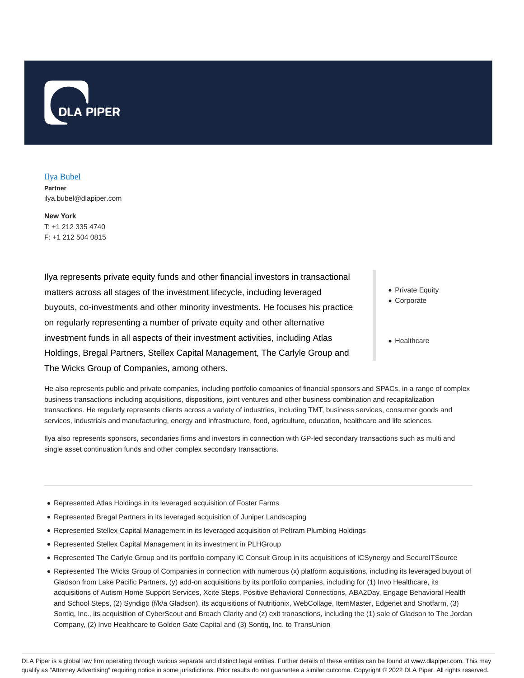

Ilya Bubel **Partner** ilya.bubel@dlapiper.com

**New York** T: +1 212 335 4740 F: +1 212 504 0815

Ilya represents private equity funds and other financial investors in transactional matters across all stages of the investment lifecycle, including leveraged buyouts, co-investments and other minority investments. He focuses his practice on regularly representing a number of private equity and other alternative investment funds in all aspects of their investment activities, including Atlas Holdings, Bregal Partners, Stellex Capital Management, The Carlyle Group and The Wicks Group of Companies, among others.

- Private Equity
- Corporate
- Healthcare

He also represents public and private companies, including portfolio companies of financial sponsors and SPACs, in a range of complex business transactions including acquisitions, dispositions, joint ventures and other business combination and recapitalization transactions. He regularly represents clients across a variety of industries, including TMT, business services, consumer goods and services, industrials and manufacturing, energy and infrastructure, food, agriculture, education, healthcare and life sciences.

Ilya also represents sponsors, secondaries firms and investors in connection with GP-led secondary transactions such as multi and single asset continuation funds and other complex secondary transactions.

- Represented Atlas Holdings in its leveraged acquisition of Foster Farms
- Represented Bregal Partners in its leveraged acquisition of Juniper Landscaping
- Represented Stellex Capital Management in its leveraged acquisition of Peltram Plumbing Holdings
- Represented Stellex Capital Management in its investment in PLHGroup
- Represented The Carlyle Group and its portfolio company iC Consult Group in its acquisitions of ICSynergy and SecureITSource
- Represented The Wicks Group of Companies in connection with numerous (x) platform acquisitions, including its leveraged buyout of Gladson from Lake Pacific Partners, (y) add-on acquisitions by its portfolio companies, including for (1) Invo Healthcare, its acquisitions of Autism Home Support Services, Xcite Steps, Positive Behavioral Connections, ABA2Day, Engage Behavioral Health and School Steps, (2) Syndigo (f/k/a Gladson), its acquisitions of Nutritionix, WebCollage, ItemMaster, Edgenet and Shotfarm, (3) Sontiq, Inc., its acquisition of CyberScout and Breach Clarity and (z) exit tranasctions, including the (1) sale of Gladson to The Jordan Company, (2) Invo Healthcare to Golden Gate Capital and (3) Sontiq, Inc. to TransUnion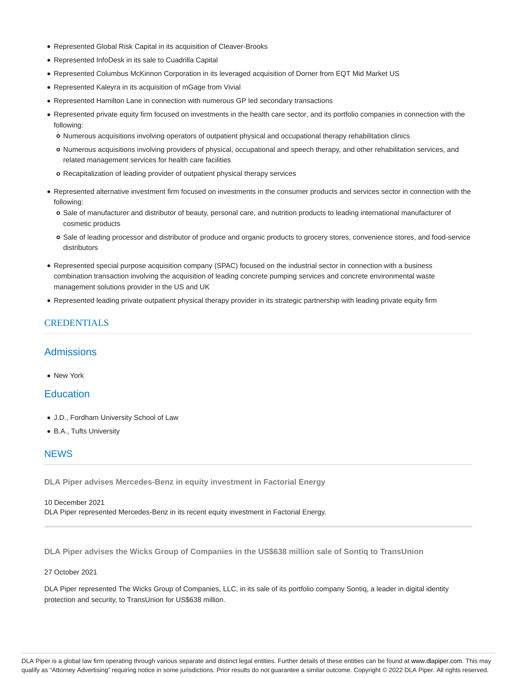- Represented Global Risk Capital in its acquisition of Cleaver-Brooks
- Represented InfoDesk in its sale to Cuadrilla Capital
- Represented Columbus McKinnon Corporation in its leveraged acquisition of Dorner from EQT Mid Market US
- Represented Kaleyra in its acquisition of mGage from Vivial
- Represented Hamilton Lane in connection with numerous GP led secondary transactions
- Represented private equity firm focused on investments in the health care sector, and its portfolio companies in connection with the following:
	- Numerous acquisitions involving operators of outpatient physical and occupational therapy rehabilitation clinics
	- Numerous acquisitions involving providers of physical, occupational and speech therapy, and other rehabilitation services, and related management services for health care facilities
	- Recapitalization of leading provider of outpatient physical therapy services
- Represented alternative investment firm focused on investments in the consumer products and services sector in connection with the following:
	- Sale of manufacturer and distributor of beauty, personal care, and nutrition products to leading international manufacturer of cosmetic products
	- Sale of leading processor and distributor of produce and organic products to grocery stores, convenience stores, and food-service distributors
- Represented special purpose acquisition company (SPAC) focused on the industrial sector in connection with a business combination transaction involving the acquisition of leading concrete pumping services and concrete environmental waste management solutions provider in the US and UK
- Represented leading private outpatient physical therapy provider in its strategic partnership with leading private equity firm

## CREDENTIALS

# Admissions

• New York

### **Education**

- J.D., Fordham University School of Law
- B.A., Tufts University

# **NEWS**

**DLA Piper advises Mercedes-Benz in equity investment in Factorial Energy**

10 December 2021 DLA Piper represented Mercedes-Benz in its recent equity investment in Factorial Energy.

**DLA Piper advises the Wicks Group of Companies in the US\$638 million sale of Sontiq to TransUnion**

#### 27 October 2021

DLA Piper represented The Wicks Group of Companies, LLC, in its sale of its portfolio company Sontiq, a leader in digital identity protection and security, to TransUnion for US\$638 million.